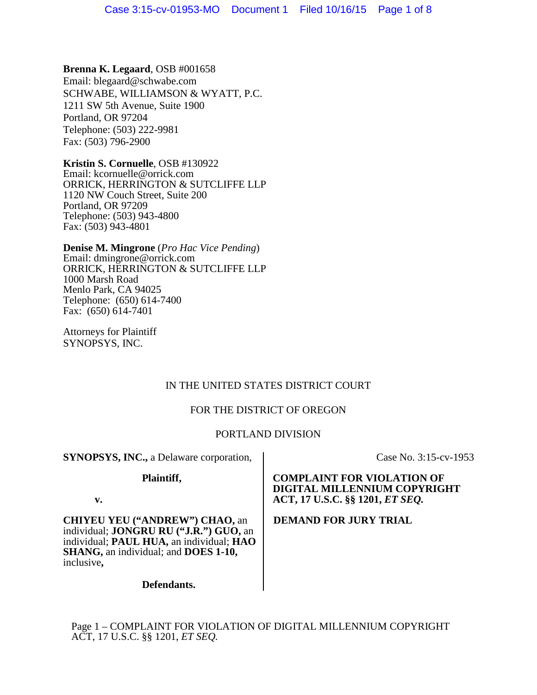**Brenna K. Legaard**, OSB #001658 Email: blegaard@schwabe.com SCHWABE, WILLIAMSON & WYATT, P.C. 1211 SW 5th Avenue, Suite 1900 Portland, OR 97204 Telephone: (503) 222-9981 Fax: (503) 796-2900

**Kristin S. Cornuelle**, OSB #130922 Email: kcornuelle@orrick.com ORRICK, HERRINGTON & SUTCLIFFE LLP 1120 NW Couch Street, Suite 200 Portland, OR 97209 Telephone: (503) 943-4800 Fax: (503) 943-4801

**Denise M. Mingrone** (*Pro Hac Vice Pending*) Email: dmingrone@orrick.com ORRICK, HERRINGTON & SUTCLIFFE LLP 1000 Marsh Road Menlo Park, CA 94025 Telephone: (650) 614-7400 Fax: (650) 614-7401

Attorneys for Plaintiff SYNOPSYS, INC.

# IN THE UNITED STATES DISTRICT COURT

# FOR THE DISTRICT OF OREGON

# PORTLAND DIVISION

**SYNOPSYS, INC.,** a Delaware corporation,

**Plaintiff,**

Case No. 3:15-cv-1953

**COMPLAINT FOR VIOLATION OF DIGITAL MILLENNIUM COPYRIGHT ACT, 17 U.S.C. §§ 1201,** *ET SEQ.*

**DEMAND FOR JURY TRIAL**

**v.**

**CHIYEU YEU ("ANDREW") CHAO,** an individual; **JONGRU RU ("J.R.") GUO,** an individual; **PAUL HUA,** an individual; **HAO SHANG,** an individual; and **DOES 1-10,**  inclusive**,** 

**Defendants.**

Page 1 – COMPLAINT FOR VIOLATION OF DIGITAL MILLENNIUM COPYRIGHT ACT, 17 U.S.C. §§ 1201, *ET SEQ.*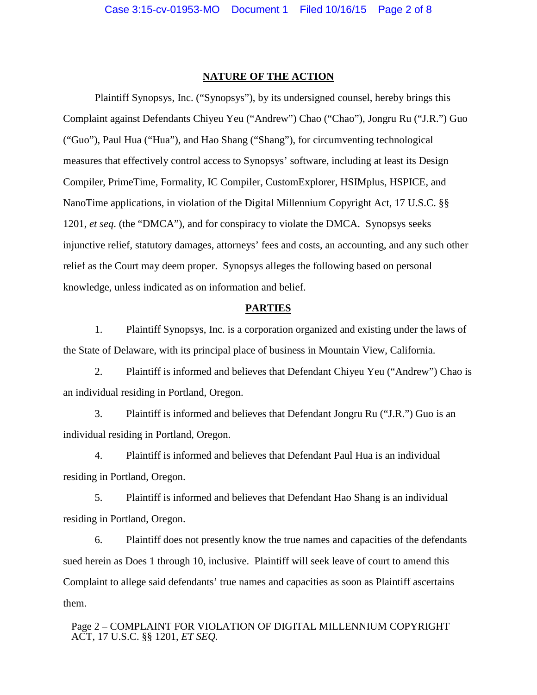### **NATURE OF THE ACTION**

Plaintiff Synopsys, Inc. ("Synopsys"), by its undersigned counsel, hereby brings this Complaint against Defendants Chiyeu Yeu ("Andrew") Chao ("Chao"), Jongru Ru ("J.R.") Guo ("Guo"), Paul Hua ("Hua"), and Hao Shang ("Shang"), for circumventing technological measures that effectively control access to Synopsys' software, including at least its Design Compiler, PrimeTime, Formality, IC Compiler, CustomExplorer, HSIMplus, HSPICE, and NanoTime applications, in violation of the Digital Millennium Copyright Act, 17 U.S.C. §§ 1201, *et seq*. (the "DMCA"), and for conspiracy to violate the DMCA. Synopsys seeks injunctive relief, statutory damages, attorneys' fees and costs, an accounting, and any such other relief as the Court may deem proper. Synopsys alleges the following based on personal knowledge, unless indicated as on information and belief.

## **PARTIES**

1. Plaintiff Synopsys, Inc. is a corporation organized and existing under the laws of the State of Delaware, with its principal place of business in Mountain View, California.

2. Plaintiff is informed and believes that Defendant Chiyeu Yeu ("Andrew") Chao is an individual residing in Portland, Oregon.

3. Plaintiff is informed and believes that Defendant Jongru Ru ("J.R.") Guo is an individual residing in Portland, Oregon.

4. Plaintiff is informed and believes that Defendant Paul Hua is an individual residing in Portland, Oregon.

5. Plaintiff is informed and believes that Defendant Hao Shang is an individual residing in Portland, Oregon.

6. Plaintiff does not presently know the true names and capacities of the defendants sued herein as Does 1 through 10, inclusive. Plaintiff will seek leave of court to amend this Complaint to allege said defendants' true names and capacities as soon as Plaintiff ascertains them.

Page 2 – COMPLAINT FOR VIOLATION OF DIGITAL MILLENNIUM COPYRIGHT ACT, 17 U.S.C. §§ 1201, *ET SEQ.*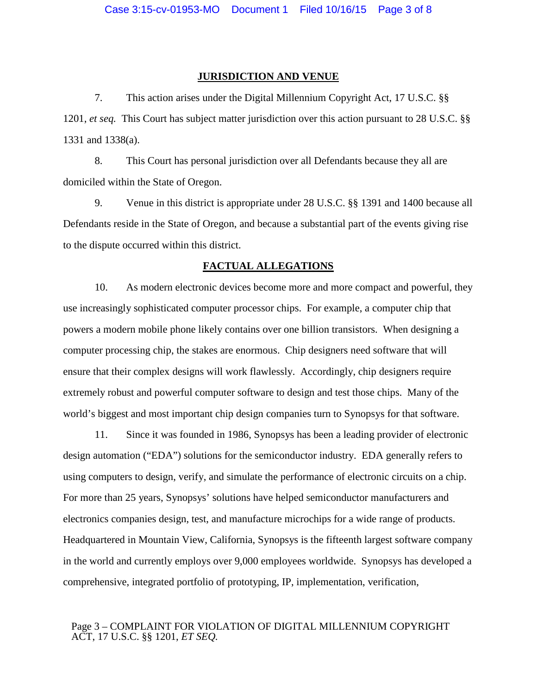#### **JURISDICTION AND VENUE**

7. This action arises under the Digital Millennium Copyright Act, 17 U.S.C. §§ 1201, *et seq.* This Court has subject matter jurisdiction over this action pursuant to 28 U.S.C. §§ 1331 and 1338(a).

8. This Court has personal jurisdiction over all Defendants because they all are domiciled within the State of Oregon.

9. Venue in this district is appropriate under 28 U.S.C. §§ 1391 and 1400 because all Defendants reside in the State of Oregon, and because a substantial part of the events giving rise to the dispute occurred within this district.

### **FACTUAL ALLEGATIONS**

10. As modern electronic devices become more and more compact and powerful, they use increasingly sophisticated computer processor chips. For example, a computer chip that powers a modern mobile phone likely contains over one billion transistors. When designing a computer processing chip, the stakes are enormous. Chip designers need software that will ensure that their complex designs will work flawlessly. Accordingly, chip designers require extremely robust and powerful computer software to design and test those chips. Many of the world's biggest and most important chip design companies turn to Synopsys for that software.

11. Since it was founded in 1986, Synopsys has been a leading provider of electronic design automation ("EDA") solutions for the semiconductor industry. EDA generally refers to using computers to design, verify, and simulate the performance of electronic circuits on a chip. For more than 25 years, Synopsys' solutions have helped semiconductor manufacturers and electronics companies design, test, and manufacture microchips for a wide range of products. Headquartered in Mountain View, California, Synopsys is the fifteenth largest software company in the world and currently employs over 9,000 employees worldwide. Synopsys has developed a comprehensive, integrated portfolio of prototyping, IP, implementation, verification,

## Page 3 – COMPLAINT FOR VIOLATION OF DIGITAL MILLENNIUM COPYRIGHT ACT, 17 U.S.C. §§ 1201, *ET SEQ.*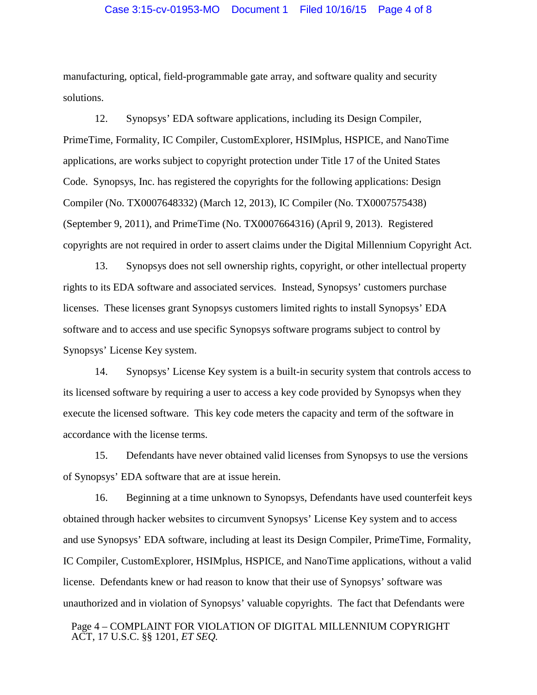manufacturing, optical, field-programmable gate array, and software quality and security solutions.

12. Synopsys' EDA software applications, including its Design Compiler, PrimeTime, Formality, IC Compiler, CustomExplorer, HSIMplus, HSPICE, and NanoTime applications, are works subject to copyright protection under Title 17 of the United States Code. Synopsys, Inc. has registered the copyrights for the following applications: Design Compiler (No. TX0007648332) (March 12, 2013), IC Compiler (No. TX0007575438) (September 9, 2011), and PrimeTime (No. TX0007664316) (April 9, 2013). Registered copyrights are not required in order to assert claims under the Digital Millennium Copyright Act.

13. Synopsys does not sell ownership rights, copyright, or other intellectual property rights to its EDA software and associated services. Instead, Synopsys' customers purchase licenses. These licenses grant Synopsys customers limited rights to install Synopsys' EDA software and to access and use specific Synopsys software programs subject to control by Synopsys' License Key system.

14. Synopsys' License Key system is a built-in security system that controls access to its licensed software by requiring a user to access a key code provided by Synopsys when they execute the licensed software. This key code meters the capacity and term of the software in accordance with the license terms.

15. Defendants have never obtained valid licenses from Synopsys to use the versions of Synopsys' EDA software that are at issue herein.

16. Beginning at a time unknown to Synopsys, Defendants have used counterfeit keys obtained through hacker websites to circumvent Synopsys' License Key system and to access and use Synopsys' EDA software, including at least its Design Compiler, PrimeTime, Formality, IC Compiler, CustomExplorer, HSIMplus, HSPICE, and NanoTime applications, without a valid license. Defendants knew or had reason to know that their use of Synopsys' software was unauthorized and in violation of Synopsys' valuable copyrights. The fact that Defendants were

Page 4 – COMPLAINT FOR VIOLATION OF DIGITAL MILLENNIUM COPYRIGHT ACT, 17 U.S.C. §§ 1201, *ET SEQ.*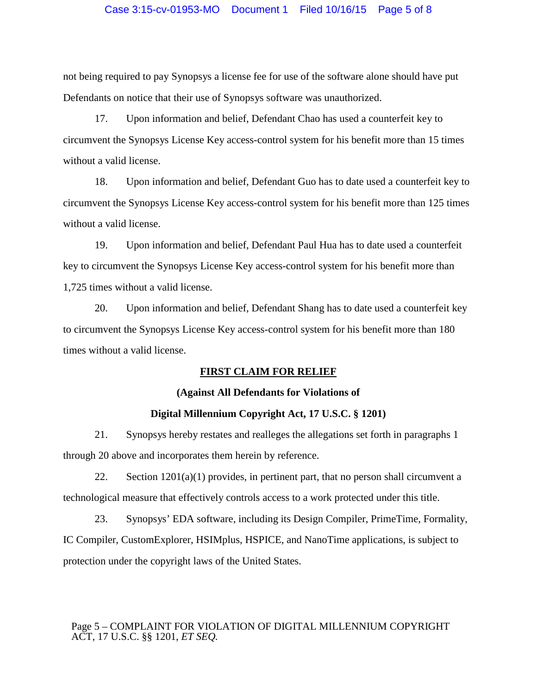## Case 3:15-cv-01953-MO Document 1 Filed 10/16/15 Page 5 of 8

not being required to pay Synopsys a license fee for use of the software alone should have put Defendants on notice that their use of Synopsys software was unauthorized.

17. Upon information and belief, Defendant Chao has used a counterfeit key to circumvent the Synopsys License Key access-control system for his benefit more than 15 times without a valid license.

18. Upon information and belief, Defendant Guo has to date used a counterfeit key to circumvent the Synopsys License Key access-control system for his benefit more than 125 times without a valid license.

19. Upon information and belief, Defendant Paul Hua has to date used a counterfeit key to circumvent the Synopsys License Key access-control system for his benefit more than 1,725 times without a valid license.

20. Upon information and belief, Defendant Shang has to date used a counterfeit key to circumvent the Synopsys License Key access-control system for his benefit more than 180 times without a valid license.

# **FIRST CLAIM FOR RELIEF**

## **(Against All Defendants for Violations of**

#### **Digital Millennium Copyright Act, 17 U.S.C. § 1201)**

21. Synopsys hereby restates and realleges the allegations set forth in paragraphs 1 through 20 above and incorporates them herein by reference.

22. Section  $1201(a)(1)$  provides, in pertinent part, that no person shall circumvent a technological measure that effectively controls access to a work protected under this title.

23. Synopsys' EDA software, including its Design Compiler, PrimeTime, Formality, IC Compiler, CustomExplorer, HSIMplus, HSPICE, and NanoTime applications, is subject to protection under the copyright laws of the United States.

## Page 5 – COMPLAINT FOR VIOLATION OF DIGITAL MILLENNIUM COPYRIGHT ACT, 17 U.S.C. §§ 1201, *ET SEQ.*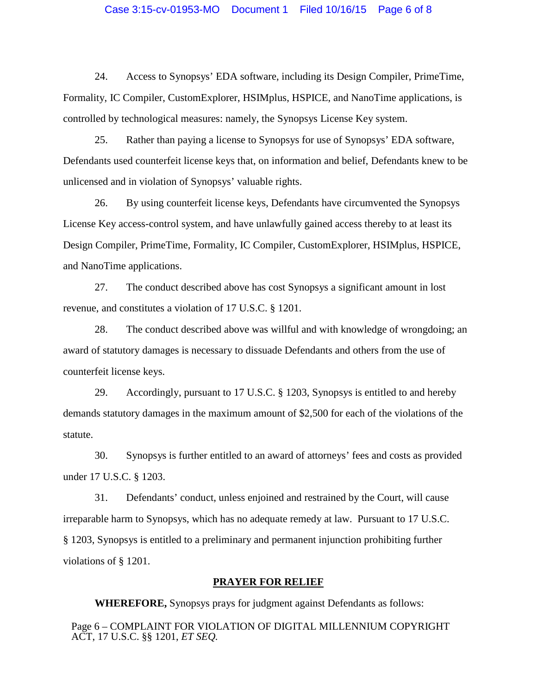### Case 3:15-cv-01953-MO Document 1 Filed 10/16/15 Page 6 of 8

24. Access to Synopsys' EDA software, including its Design Compiler, PrimeTime, Formality, IC Compiler, CustomExplorer, HSIMplus, HSPICE, and NanoTime applications, is controlled by technological measures: namely, the Synopsys License Key system.

25. Rather than paying a license to Synopsys for use of Synopsys' EDA software, Defendants used counterfeit license keys that, on information and belief, Defendants knew to be unlicensed and in violation of Synopsys' valuable rights.

26. By using counterfeit license keys, Defendants have circumvented the Synopsys License Key access-control system, and have unlawfully gained access thereby to at least its Design Compiler, PrimeTime, Formality, IC Compiler, CustomExplorer, HSIMplus, HSPICE, and NanoTime applications.

27. The conduct described above has cost Synopsys a significant amount in lost revenue, and constitutes a violation of 17 U.S.C. § 1201.

28. The conduct described above was willful and with knowledge of wrongdoing; an award of statutory damages is necessary to dissuade Defendants and others from the use of counterfeit license keys.

29. Accordingly, pursuant to 17 U.S.C. § 1203, Synopsys is entitled to and hereby demands statutory damages in the maximum amount of \$2,500 for each of the violations of the statute.

30. Synopsys is further entitled to an award of attorneys' fees and costs as provided under 17 U.S.C. § 1203.

31. Defendants' conduct, unless enjoined and restrained by the Court, will cause irreparable harm to Synopsys, which has no adequate remedy at law. Pursuant to 17 U.S.C. § 1203, Synopsys is entitled to a preliminary and permanent injunction prohibiting further violations of § 1201.

### **PRAYER FOR RELIEF**

**WHEREFORE,** Synopsys prays for judgment against Defendants as follows:

Page 6 – COMPLAINT FOR VIOLATION OF DIGITAL MILLENNIUM COPYRIGHT ACT, 17 U.S.C. §§ 1201, *ET SEQ.*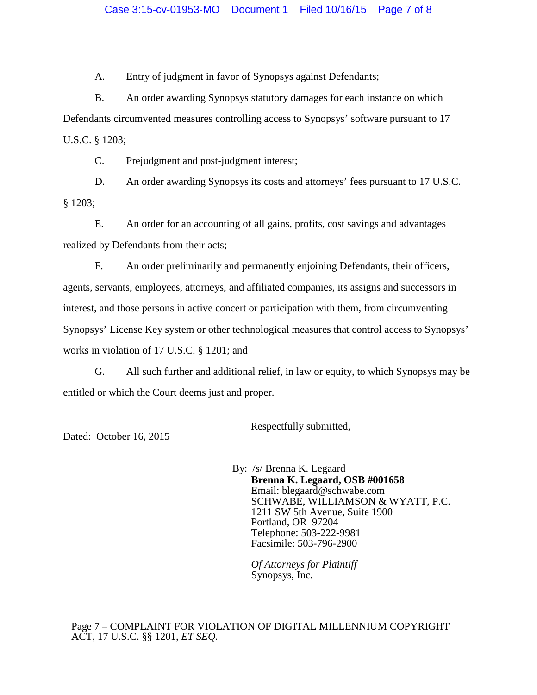A. Entry of judgment in favor of Synopsys against Defendants;

B. An order awarding Synopsys statutory damages for each instance on which Defendants circumvented measures controlling access to Synopsys' software pursuant to 17 U.S.C. § 1203;

C. Prejudgment and post-judgment interest;

D. An order awarding Synopsys its costs and attorneys' fees pursuant to 17 U.S.C. § 1203;

E. An order for an accounting of all gains, profits, cost savings and advantages realized by Defendants from their acts;

F. An order preliminarily and permanently enjoining Defendants, their officers, agents, servants, employees, attorneys, and affiliated companies, its assigns and successors in interest, and those persons in active concert or participation with them, from circumventing Synopsys' License Key system or other technological measures that control access to Synopsys' works in violation of 17 U.S.C. § 1201; and

G. All such further and additional relief, in law or equity, to which Synopsys may be entitled or which the Court deems just and proper.

Respectfully submitted,

Dated: October 16, 2015

By: /s/ Brenna K. Legaard **Brenna K. Legaard, OSB #001658**  Email: blegaard@schwabe.com SCHWABE, WILLIAMSON & WYATT, P.C. 1211 SW 5th Avenue, Suite 1900 Portland, OR 97204 Telephone: 503-222-9981 Facsimile: 503-796-2900

*Of Attorneys for Plaintiff* Synopsys, Inc.

Page 7 – COMPLAINT FOR VIOLATION OF DIGITAL MILLENNIUM COPYRIGHT ACT, 17 U.S.C. §§ 1201, *ET SEQ.*